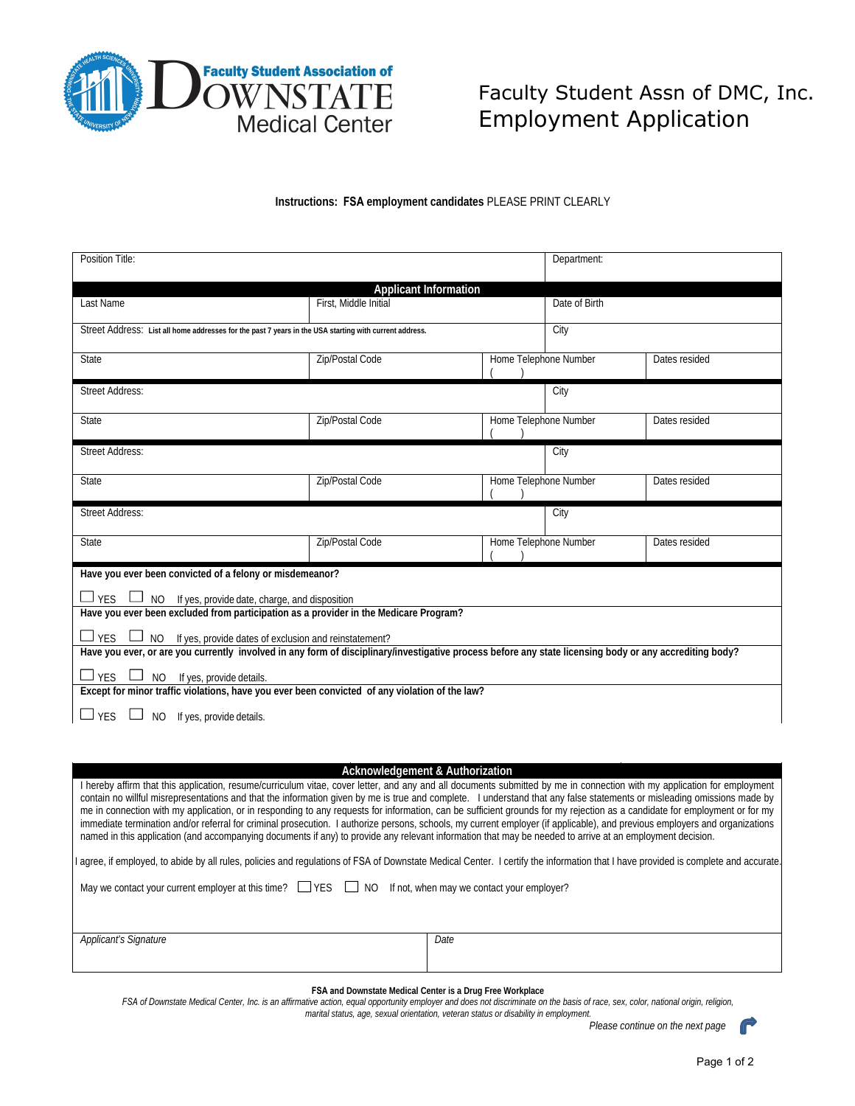

## Faculty Student Assn of DMC, Inc. Employment Application

## **Instructions: FSA employment candidates** PLEASE PRINT CLEARLY

| Position Title:                                                                                                                                         | Department:                  |                       |                       |               |  |  |  |  |
|---------------------------------------------------------------------------------------------------------------------------------------------------------|------------------------------|-----------------------|-----------------------|---------------|--|--|--|--|
|                                                                                                                                                         | <b>Applicant Information</b> |                       |                       |               |  |  |  |  |
| Last Name                                                                                                                                               | First, Middle Initial        |                       | Date of Birth         |               |  |  |  |  |
|                                                                                                                                                         |                              |                       |                       |               |  |  |  |  |
| Street Address: List all home addresses for the past 7 years in the USA starting with current address.                                                  | City                         |                       |                       |               |  |  |  |  |
| <b>State</b>                                                                                                                                            | Zip/Postal Code              |                       | Home Telephone Number | Dates resided |  |  |  |  |
|                                                                                                                                                         |                              |                       |                       |               |  |  |  |  |
| <b>Street Address:</b>                                                                                                                                  |                              |                       | City                  |               |  |  |  |  |
| State                                                                                                                                                   |                              | Home Telephone Number |                       | Dates resided |  |  |  |  |
|                                                                                                                                                         | Zip/Postal Code              |                       |                       |               |  |  |  |  |
| <b>Street Address:</b>                                                                                                                                  |                              |                       | City                  |               |  |  |  |  |
|                                                                                                                                                         |                              |                       |                       |               |  |  |  |  |
| State                                                                                                                                                   | Zip/Postal Code              | Home Telephone Number |                       | Dates resided |  |  |  |  |
|                                                                                                                                                         |                              |                       |                       |               |  |  |  |  |
| <b>Street Address:</b>                                                                                                                                  |                              |                       | City                  |               |  |  |  |  |
| State                                                                                                                                                   | Zip/Postal Code              | Home Telephone Number |                       | Dates resided |  |  |  |  |
|                                                                                                                                                         |                              |                       |                       |               |  |  |  |  |
| Have you ever been convicted of a felony or misdemeanor?                                                                                                |                              |                       |                       |               |  |  |  |  |
| $\Box$ YES $\Box$ NO If yes, provide date, charge, and disposition                                                                                      |                              |                       |                       |               |  |  |  |  |
| Have you ever been excluded from participation as a provider in the Medicare Program?                                                                   |                              |                       |                       |               |  |  |  |  |
| $\Box$ YES $\Box$ NO If yes, provide dates of exclusion and reinstatement?                                                                              |                              |                       |                       |               |  |  |  |  |
| Have you ever, or are you currently involved in any form of disciplinary/investigative process before any state licensing body or any accrediting body? |                              |                       |                       |               |  |  |  |  |
| $\Box$ YES $\Box$ NO If yes, provide details.                                                                                                           |                              |                       |                       |               |  |  |  |  |
| Except for minor traffic violations, have you ever been convicted of any violation of the law?                                                          |                              |                       |                       |               |  |  |  |  |
| $\Box$ YES $\Box$ NO If yes, provide details.                                                                                                           |                              |                       |                       |               |  |  |  |  |

## **Acknowledgement & Authorization**

I hereby affirm that this application, resume/curriculum vitae, cover letter, and any and all documents submitted by me in connection with my application for employment contain no willful misrepresentations and that the information given by me is true and complete. I understand that any false statements or misleading omissions made by me in connection with my application, or in responding to any requests for information, can be sufficient grounds for my rejection as a candidate for employment or for my immediate termination and/or referral for criminal prosecution. I authorize persons, schools, my current employer (if applicable), and previous employers and organizations named in this application (and accompanying documents if any) to provide any relevant information that may be needed to arrive at an employment decision.

agree, if employed, to abide by all rules, policies and regulations of FSA of Downstate Medical Center. I certify the information that I have provided is complete and accurate

May we contact your current employer at this time?  $\Box$  YES  $\Box$  NO If not, when may we contact your employer?

| Applicant's Signature | Date |
|-----------------------|------|
|                       |      |
|                       |      |

## **FSA and Downstate Medical Center is a Drug Free Workplace**

FSA of Downstate Medical Center, Inc. is an affirmative action, equal opportunity employer and does not discriminate on the basis of race, sex, color, national origin, religion,  *marital status, age, sexual orientation, veteran status or disability in employment.* 

 *Please continue on the next page*